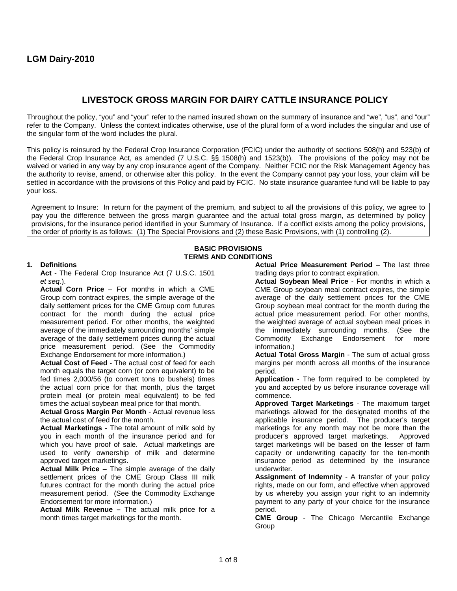# **LIVESTOCK GROSS MARGIN FOR DAIRY CATTLE INSURANCE POLICY**

Throughout the policy, "you" and "your" refer to the named insured shown on the summary of insurance and "we", "us", and "our" refer to the Company. Unless the context indicates otherwise, use of the plural form of a word includes the singular and use of the singular form of the word includes the plural.

This policy is reinsured by the Federal Crop Insurance Corporation (FCIC) under the authority of sections 508(h) and 523(b) of the Federal Crop Insurance Act, as amended (7 U.S.C. §§ 1508(h) and 1523(b)). The provisions of the policy may not be waived or varied in any way by any crop insurance agent of the Company. Neither FCIC nor the Risk Management Agency has the authority to revise, amend, or otherwise alter this policy. In the event the Company cannot pay your loss, your claim will be settled in accordance with the provisions of this Policy and paid by FCIC. No state insurance guarantee fund will be liable to pay your loss.

Agreement to Insure: In return for the payment of the premium, and subject to all the provisions of this policy, we agree to pay you the difference between the gross margin guarantee and the actual total gross margin, as determined by policy provisions, for the insurance period identified in your Summary of Insurance. If a conflict exists among the policy provisions, the order of priority is as follows: (1) The Special Provisions and (2) these Basic Provisions, with (1) controlling (2).

# **BASIC PROVISIONS TERMS AND CONDITIONS**

# **1. Definitions**

**Act** - The Federal Crop Insurance Act (7 U.S.C. 1501 *et seq.*).

**Actual Corn Price** – For months in which a CME Group corn contract expires, the simple average of the daily settlement prices for the CME Group corn futures contract for the month during the actual price measurement period. For other months, the weighted average of the immediately surrounding months' simple average of the daily settlement prices during the actual price measurement period. (See the Commodity Exchange Endorsement for more information.)

**Actual Cost of Feed** - The actual cost of feed for each month equals the target corn (or corn equivalent) to be fed times 2,000/56 (to convert tons to bushels) times the actual corn price for that month, plus the target protein meal (or protein meal equivalent) to be fed times the actual soybean meal price for that month.

**Actual Gross Margin Per Month** - Actual revenue less the actual cost of feed for the month.

**Actual Marketings** - The total amount of milk sold by you in each month of the insurance period and for which you have proof of sale. Actual marketings are used to verify ownership of milk and determine approved target marketings.

**Actual Milk Price** – The simple average of the daily settlement prices of the CME Group Class III milk futures contract for the month during the actual price measurement period. (See the Commodity Exchange Endorsement for more information.)

**Actual Milk Revenue –** The actual milk price for a month times target marketings for the month.

**Actual Price Measurement Period – The last three** trading days prior to contract expiration.

**Actual Soybean Meal Price** - For months in which a CME Group soybean meal contract expires, the simple average of the daily settlement prices for the CME Group soybean meal contract for the month during the actual price measurement period. For other months, the weighted average of actual soybean meal prices in the immediately surrounding months. (See the Commodity Exchange Endorsement for more information.)

**Actual Total Gross Margin** - The sum of actual gross margins per month across all months of the insurance period.

**Application** - The form required to be completed by you and accepted by us before insurance coverage will commence.

**Approved Target Marketings** - The maximum target marketings allowed for the designated months of the applicable insurance period. The producer's target marketings for any month may not be more than the producer's approved target marketings. Approved target marketings will be based on the lesser of farm capacity or underwriting capacity for the ten-month insurance period as determined by the insurance underwriter.

**Assignment of Indemnity** - A transfer of your policy rights, made on our form, and effective when approved by us whereby you assign your right to an indemnity payment to any party of your choice for the insurance period.

**CME Group** - The Chicago Mercantile Exchange Group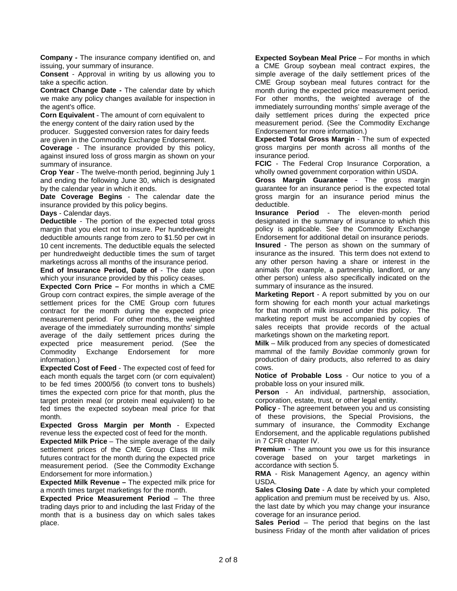**Company -** The insurance company identified on, and issuing, your summary of insurance.

**Consent** - Approval in writing by us allowing you to take a specific action.

**Contract Change Date -** The calendar date by which we make any policy changes available for inspection in the agent's office.

**Corn Equivalent** - The amount of corn equivalent to the energy content of the dairy ration used by the producer. Suggested conversion rates for dairy feeds are given in the Commodity Exchange Endorsement.

**Coverage** - The insurance provided by this policy, against insured loss of gross margin as shown on your summary of insurance.

**Crop Year** - The twelve-month period, beginning July 1 and ending the following June 30, which is designated by the calendar year in which it ends.

**Date Coverage Begins** - The calendar date the insurance provided by this policy begins.

**Days** - Calendar days.

**Deductible** - The portion of the expected total gross margin that you elect not to insure. Per hundredweight deductible amounts range from zero to \$1.50 per cwt in 10 cent increments. The deductible equals the selected per hundredweight deductible times the sum of target marketings across all months of the insurance period.

**End of Insurance Period, Date of** - The date upon which your insurance provided by this policy ceases.

**Expected Corn Price –** For months in which a CME Group corn contract expires, the simple average of the settlement prices for the CME Group corn futures contract for the month during the expected price measurement period. For other months, the weighted average of the immediately surrounding months' simple average of the daily settlement prices during the expected price measurement period. (See the Commodity Exchange Endorsement for more information.)

**Expected Cost of Feed** - The expected cost of feed for each month equals the target corn (or corn equivalent) to be fed times 2000/56 (to convert tons to bushels) times the expected corn price for that month, plus the target protein meal (or protein meal equivalent) to be fed times the expected soybean meal price for that month.

**Expected Gross Margin per Month** - Expected revenue less the expected cost of feed for the month.

**Expected Milk Price** – The simple average of the daily settlement prices of the CME Group Class III milk futures contract for the month during the expected price measurement period. (See the Commodity Exchange Endorsement for more information.)

**Expected Milk Revenue –** The expected milk price for a month times target marketings for the month.

**Expected Price Measurement Period** – The three trading days prior to and including the last Friday of the month that is a business day on which sales takes place.

**Expected Soybean Meal Price** – For months in which a CME Group soybean meal contract expires, the simple average of the daily settlement prices of the CME Group soybean meal futures contract for the month during the expected price measurement period. For other months, the weighted average of the immediately surrounding months' simple average of the daily settlement prices during the expected price measurement period. (See the Commodity Exchange Endorsement for more information.)

**Expected Total Gross Margin** - The sum of expected gross margins per month across all months of the insurance period.

**FCIC** - The Federal Crop Insurance Corporation, a wholly owned government corporation within USDA.

**Gross Margin Guarantee** - The gross margin guarantee for an insurance period is the expected total gross margin for an insurance period minus the deductible.

**Insurance Period** - The eleven-month period designated in the summary of insurance to which this policy is applicable. See the Commodity Exchange Endorsement for additional detail on insurance periods.

**Insured** - The person as shown on the summary of insurance as the insured. This term does not extend to any other person having a share or interest in the animals (for example, a partnership, landlord, or any other person) unless also specifically indicated on the summary of insurance as the insured.

**Marketing Report** - A report submitted by you on our form showing for each month your actual marketings for that month of milk insured under this policy. The marketing report must be accompanied by copies of sales receipts that provide records of the actual marketings shown on the marketing report.

**Milk** – Milk produced from any species of domesticated mammal of the family *Bovidae* commonly grown for production of dairy products, also referred to as dairy cows.

**Notice of Probable Loss** - Our notice to you of a probable loss on your insured milk.

**Person** - An individual, partnership, association, corporation, estate, trust, or other legal entity.

**Policy** - The agreement between you and us consisting of these provisions, the Special Provisions, the summary of insurance, the Commodity Exchange Endorsement, and the applicable regulations published in 7 CFR chapter IV.

**Premium** - The amount you owe us for this insurance coverage based on your target marketings in accordance with section 5.

**RMA** - Risk Management Agency, an agency within USDA.

**Sales Closing Date** - A date by which your completed application and premium must be received by us. Also, the last date by which you may change your insurance coverage for an insurance period.

**Sales Period** – The period that begins on the last business Friday of the month after validation of prices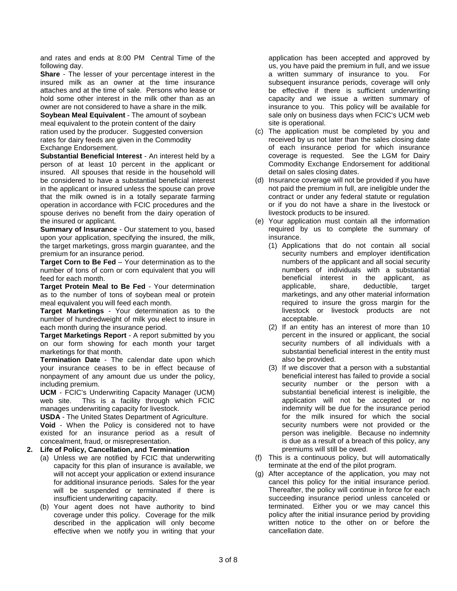and rates and ends at 8:00 PM Central Time of the following day.

**Share** - The lesser of your percentage interest in the insured milk as an owner at the time insurance attaches and at the time of sale. Persons who lease or hold some other interest in the milk other than as an owner are not considered to have a share in the milk.

**Soybean Meal Equivalent** - The amount of soybean meal equivalent to the protein content of the dairy ration used by the producer. Suggested conversion rates for dairy feeds are given in the Commodity Exchange Endorsement.

**Substantial Beneficial Interest** - An interest held by a person of at least 10 percent in the applicant or insured. All spouses that reside in the household will be considered to have a substantial beneficial interest in the applicant or insured unless the spouse can prove that the milk owned is in a totally separate farming operation in accordance with FCIC procedures and the spouse derives no benefit from the dairy operation of the insured or applicant.

**Summary of Insurance** - Our statement to you, based upon your application, specifying the insured, the milk, the target marketings, gross margin guarantee, and the premium for an insurance period.

**Target Corn to Be Fed** – Your determination as to the number of tons of corn or corn equivalent that you will feed for each month.

**Target Protein Meal to Be Fed** - Your determination as to the number of tons of soybean meal or protein meal equivalent you will feed each month.

**Target Marketings** - Your determination as to the number of hundredweight of milk you elect to insure in each month during the insurance period.

**Target Marketings Report** - A report submitted by you on our form showing for each month your target marketings for that month.

**Termination Date** - The calendar date upon which your insurance ceases to be in effect because of nonpayment of any amount due us under the policy, including premium.

**UCM** - FCIC's Underwriting Capacity Manager (UCM) web site. This is a facility through which FCIC manages underwriting capacity for livestock.

**USDA** - The United States Department of Agriculture.

**Void** - When the Policy is considered not to have existed for an insurance period as a result of concealment, fraud, or misrepresentation.

# **2. Life of Policy, Cancellation, and Termination**

- (a) Unless we are notified by FCIC that underwriting capacity for this plan of insurance is available, we will not accept your application or extend insurance for additional insurance periods. Sales for the year will be suspended or terminated if there is insufficient underwriting capacity.
- (b) Your agent does not have authority to bind coverage under this policy. Coverage for the milk described in the application will only become effective when we notify you in writing that your

application has been accepted and approved by us, you have paid the premium in full, and we issue a written summary of insurance to you. For subsequent insurance periods, coverage will only be effective if there is sufficient underwriting capacity and we issue a written summary of insurance to you. This policy will be available for sale only on business days when FCIC's UCM web site is operational.

- (c) The application must be completed by you and received by us not later than the sales closing date of each insurance period for which insurance coverage is requested. See the LGM for Dairy Commodity Exchange Endorsement for additional detail on sales closing dates.
- (d) Insurance coverage will not be provided if you have not paid the premium in full, are ineligible under the contract or under any federal statute or regulation or if you do not have a share in the livestock or livestock products to be insured.
- (e) Your application must contain all the information required by us to complete the summary of insurance.
	- (1) Applications that do not contain all social security numbers and employer identification numbers of the applicant and all social security numbers of individuals with a substantial beneficial interest in the applicant, as applicable, share, deductible, target marketings, and any other material information required to insure the gross margin for the livestock or livestock products are not acceptable.
	- (2) If an entity has an interest of more than 10 percent in the insured or applicant, the social security numbers of all individuals with a substantial beneficial interest in the entity must also be provided.
	- (3) If we discover that a person with a substantial beneficial interest has failed to provide a social security number or the person with a substantial beneficial interest is ineligible, the application will not be accepted or no indemnity will be due for the insurance period for the milk insured for which the social security numbers were not provided or the person was ineligible. Because no indemnity is due as a result of a breach of this policy, any premiums will still be owed.
- (f) This is a continuous policy, but will automatically terminate at the end of the pilot program.
- (g) After acceptance of the application, you may not cancel this policy for the initial insurance period. Thereafter, the policy will continue in force for each succeeding insurance period unless canceled or terminated. Either you or we may cancel this policy after the initial insurance period by providing written notice to the other on or before the cancellation date.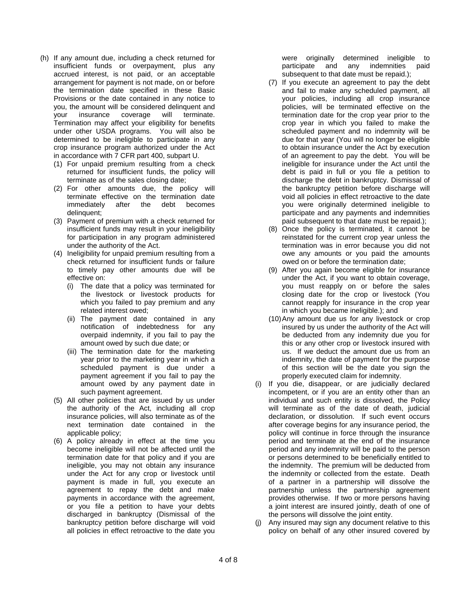- (h) If any amount due, including a check returned for insufficient funds or overpayment, plus any accrued interest, is not paid, or an acceptable arrangement for payment is not made, on or before the termination date specified in these Basic Provisions or the date contained in any notice to you, the amount will be considered delinquent and your insurance coverage will terminate. insurance coverage will terminate. Termination may affect your eligibility for benefits under other USDA programs. You will also be determined to be ineligible to participate in any crop insurance program authorized under the Act in accordance with 7 CFR part 400, subpart U.
	- (1) For unpaid premium resulting from a check returned for insufficient funds, the policy will terminate as of the sales closing date;
	- (2) For other amounts due, the policy will terminate effective on the termination date immediately after the debt becomes delinquent;
	- (3) Payment of premium with a check returned for insufficient funds may result in your ineligibility for participation in any program administered under the authority of the Act.
	- (4) Ineligibility for unpaid premium resulting from a check returned for insufficient funds or failure to timely pay other amounts due will be effective on:
		- (i) The date that a policy was terminated for the livestock or livestock products for which you failed to pay premium and any related interest owed;
		- (ii) The payment date contained in any notification of indebtedness for any overpaid indemnity, if you fail to pay the amount owed by such due date; or
		- (iii) The termination date for the marketing year prior to the marketing year in which a scheduled payment is due under a payment agreement if you fail to pay the amount owed by any payment date in such payment agreement.
	- (5) All other policies that are issued by us under the authority of the Act, including all crop insurance policies, will also terminate as of the next termination date contained in the applicable policy;
	- (6) A policy already in effect at the time you become ineligible will not be affected until the termination date for that policy and if you are ineligible, you may not obtain any insurance under the Act for any crop or livestock until payment is made in full, you execute an agreement to repay the debt and make payments in accordance with the agreement, or you file a petition to have your debts discharged in bankruptcy (Dismissal of the bankruptcy petition before discharge will void all policies in effect retroactive to the date you

were originally determined ineligible to<br>participate and any indemnities paid participate and any subsequent to that date must be repaid.);

- (7) If you execute an agreement to pay the debt and fail to make any scheduled payment, all your policies, including all crop insurance policies, will be terminated effective on the termination date for the crop year prior to the crop year in which you failed to make the scheduled payment and no indemnity will be due for that year (You will no longer be eligible to obtain insurance under the Act by execution of an agreement to pay the debt. You will be ineligible for insurance under the Act until the debt is paid in full or you file a petition to discharge the debt in bankruptcy. Dismissal of the bankruptcy petition before discharge will void all policies in effect retroactive to the date you were originally determined ineligible to participate and any payments and indemnities paid subsequent to that date must be repaid.);
- (8) Once the policy is terminated, it cannot be reinstated for the current crop year unless the termination was in error because you did not owe any amounts or you paid the amounts owed on or before the termination date;
- (9) After you again become eligible for insurance under the Act, if you want to obtain coverage, you must reapply on or before the sales closing date for the crop or livestock (You cannot reapply for insurance in the crop year in which you became ineligible.); and
- (10)Any amount due us for any livestock or crop insured by us under the authority of the Act will be deducted from any indemnity due you for this or any other crop or livestock insured with us. If we deduct the amount due us from an indemnity, the date of payment for the purpose of this section will be the date you sign the properly executed claim for indemnity.
- (i) If you die, disappear, or are judicially declared incompetent, or if you are an entity other than an individual and such entity is dissolved, the Policy will terminate as of the date of death, judicial declaration, or dissolution. If such event occurs after coverage begins for any insurance period, the policy will continue in force through the insurance period and terminate at the end of the insurance period and any indemnity will be paid to the person or persons determined to be beneficially entitled to the indemnity. The premium will be deducted from the indemnity or collected from the estate. Death of a partner in a partnership will dissolve the partnership unless the partnership agreement provides otherwise. If two or more persons having a joint interest are insured jointly, death of one of the persons will dissolve the joint entity.
- (j) Any insured may sign any document relative to this policy on behalf of any other insured covered by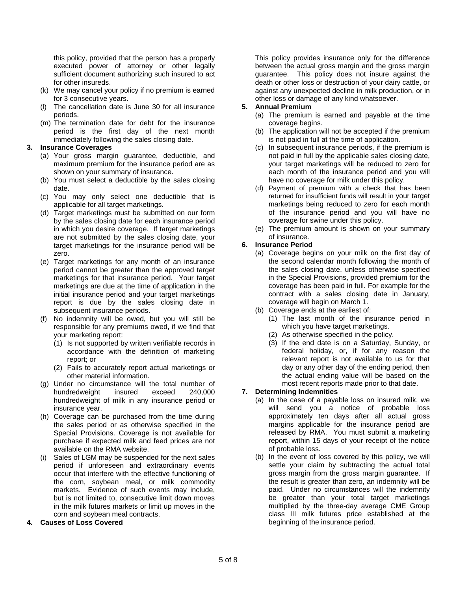this policy, provided that the person has a properly executed power of attorney or other legally sufficient document authorizing such insured to act for other insureds.

- (k) We may cancel your policy if no premium is earned for 3 consecutive years.
- (l) The cancellation date is June 30 for all insurance periods.
- (m) The termination date for debt for the insurance period is the first day of the next month immediately following the sales closing date.

### **3. Insurance Coverages**

- (a) Your gross margin guarantee, deductible, and maximum premium for the insurance period are as shown on your summary of insurance.
- (b) You must select a deductible by the sales closing date.
- (c) You may only select one deductible that is applicable for all target marketings.
- (d) Target marketings must be submitted on our form by the sales closing date for each insurance period in which you desire coverage. If target marketings are not submitted by the sales closing date, your target marketings for the insurance period will be zero.
- (e) Target marketings for any month of an insurance period cannot be greater than the approved target marketings for that insurance period. Your target marketings are due at the time of application in the initial insurance period and your target marketings report is due by the sales closing date in subsequent insurance periods.
- (f) No indemnity will be owed, but you will still be responsible for any premiums owed, if we find that your marketing report:
	- (1) Is not supported by written verifiable records in accordance with the definition of marketing report; or
	- (2) Fails to accurately report actual marketings or other material information.
- (g) Under no circumstance will the total number of hundredweight insured exceed 240,000 hundredweight of milk in any insurance period or insurance year.
- (h) Coverage can be purchased from the time during the sales period or as otherwise specified in the Special Provisions. Coverage is not available for purchase if expected milk and feed prices are not available on the RMA website.
- (i) Sales of LGM may be suspended for the next sales period if unforeseen and extraordinary events occur that interfere with the effective functioning of the corn, soybean meal, or milk commodity markets. Evidence of such events may include, but is not limited to, consecutive limit down moves in the milk futures markets or limit up moves in the corn and soybean meal contracts.

# **4. Causes of Loss Covered**

This policy provides insurance only for the difference between the actual gross margin and the gross margin guarantee. This policy does not insure against the death or other loss or destruction of your dairy cattle, or against any unexpected decline in milk production, or in other loss or damage of any kind whatsoever.

# **5. Annual Premium**

- (a) The premium is earned and payable at the time coverage begins.
- (b) The application will not be accepted if the premium is not paid in full at the time of application.
- (c) In subsequent insurance periods, if the premium is not paid in full by the applicable sales closing date, your target marketings will be reduced to zero for each month of the insurance period and you will have no coverage for milk under this policy.
- (d) Payment of premium with a check that has been returned for insufficient funds will result in your target marketings being reduced to zero for each month of the insurance period and you will have no coverage for swine under this policy.
- (e) The premium amount is shown on your summary of insurance.

# **6. Insurance Period**

- (a) Coverage begins on your milk on the first day of the second calendar month following the month of the sales closing date, unless otherwise specified in the Special Provisions, provided premium for the coverage has been paid in full. For example for the contract with a sales closing date in January, coverage will begin on March 1.
- (b) Coverage ends at the earliest of:
	- (1) The last month of the insurance period in which you have target marketings.
	- (2) As otherwise specified in the policy.
	- (3) If the end date is on a Saturday, Sunday, or federal holiday, or, if for any reason the relevant report is not available to us for that day or any other day of the ending period, then the actual ending value will be based on the most recent reports made prior to that date.

# **7. Determining Indemnities**

- (a) In the case of a payable loss on insured milk, we will send you a notice of probable loss approximately ten days after all actual gross margins applicable for the insurance period are released by RMA. You must submit a marketing report, within 15 days of your receipt of the notice of probable loss.
- (b) In the event of loss covered by this policy, we will settle your claim by subtracting the actual total gross margin from the gross margin guarantee. If the result is greater than zero, an indemnity will be paid. Under no circumstances will the indemnity be greater than your total target marketings multiplied by the three-day average CME Group class III milk futures price established at the beginning of the insurance period.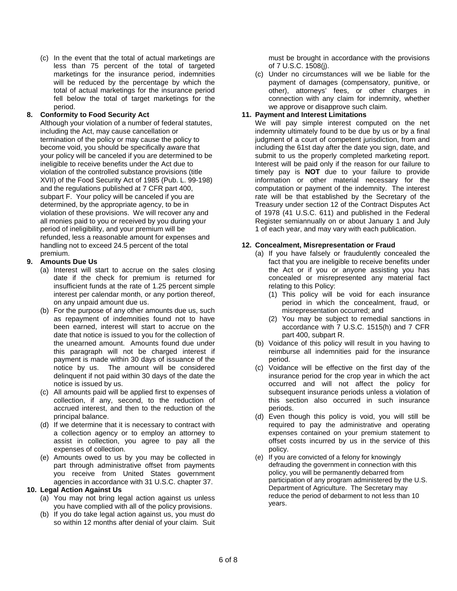(c) In the event that the total of actual marketings are less than 75 percent of the total of targeted marketings for the insurance period, indemnities will be reduced by the percentage by which the total of actual marketings for the insurance period fell below the total of target marketings for the period.

# **8. Conformity to Food Security Act**

Although your violation of a number of federal statutes, including the Act, may cause cancellation or termination of the policy or may cause the policy to become void, you should be specifically aware that your policy will be canceled if you are determined to be ineligible to receive benefits under the Act due to violation of the controlled substance provisions (title XVII) of the Food Security Act of 1985 (Pub. L. 99-198) and the regulations published at 7 CFR part 400, subpart F. Your policy will be canceled if you are determined, by the appropriate agency, to be in violation of these provisions. We will recover any and all monies paid to you or received by you during your period of ineligibility, and your premium will be refunded, less a reasonable amount for expenses and handling not to exceed 24.5 percent of the total premium.

# **9. Amounts Due Us**

- (a) Interest will start to accrue on the sales closing date if the check for premium is returned for insufficient funds at the rate of 1.25 percent simple interest per calendar month, or any portion thereof, on any unpaid amount due us.
- (b) For the purpose of any other amounts due us, such as repayment of indemnities found not to have been earned, interest will start to accrue on the date that notice is issued to you for the collection of the unearned amount. Amounts found due under this paragraph will not be charged interest if payment is made within 30 days of issuance of the notice by us. The amount will be considered delinquent if not paid within 30 days of the date the notice is issued by us.
- (c) All amounts paid will be applied first to expenses of collection, if any, second, to the reduction of accrued interest, and then to the reduction of the principal balance.
- (d) If we determine that it is necessary to contract with a collection agency or to employ an attorney to assist in collection, you agree to pay all the expenses of collection.
- (e) Amounts owed to us by you may be collected in part through administrative offset from payments you receive from United States government agencies in accordance with 31 U.S.C. chapter 37.

# **10. Legal Action Against Us**

- (a) You may not bring legal action against us unless you have complied with all of the policy provisions.
- (b) If you do take legal action against us, you must do so within 12 months after denial of your claim. Suit

must be brought in accordance with the provisions of 7 U.S.C. 1508(j).

(c) Under no circumstances will we be liable for the payment of damages (compensatory, punitive, or other), attorneys' fees, or other charges in connection with any claim for indemnity, whether we approve or disapprove such claim.

# **11. Payment and Interest Limitations**

We will pay simple interest computed on the net indemnity ultimately found to be due by us or by a final judgment of a court of competent jurisdiction, from and including the 61st day after the date you sign, date, and submit to us the properly completed marketing report. Interest will be paid only if the reason for our failure to timely pay is **NOT** due to your failure to provide information or other material necessary for the computation or payment of the indemnity. The interest rate will be that established by the Secretary of the Treasury under section 12 of the Contract Disputes Act of 1978 (41 U.S.C. 611) and published in the Federal Register semiannually on or about January 1 and July 1 of each year, and may vary with each publication.

# **12. Concealment, Misrepresentation or Fraud**

- (a) If you have falsely or fraudulently concealed the fact that you are ineligible to receive benefits under the Act or if you or anyone assisting you has concealed or misrepresented any material fact relating to this Policy:
	- (1) This policy will be void for each insurance period in which the concealment, fraud, or misrepresentation occurred; and
	- (2) You may be subject to remedial sanctions in accordance with 7 U.S.C. 1515(h) and 7 CFR part 400, subpart R.
- (b) Voidance of this policy will result in you having to reimburse all indemnities paid for the insurance period.
- (c) Voidance will be effective on the first day of the insurance period for the crop year in which the act occurred and will not affect the policy for subsequent insurance periods unless a violation of this section also occurred in such insurance periods.
- (d) Even though this policy is void, you will still be required to pay the administrative and operating expenses contained on your premium statement to offset costs incurred by us in the service of this policy.
- (e) If you are convicted of a felony for knowingly defrauding the government in connection with this policy, you will be permanently debarred from participation of any program administered by the U.S. Department of Agriculture. The Secretary may reduce the period of debarment to not less than 10 years.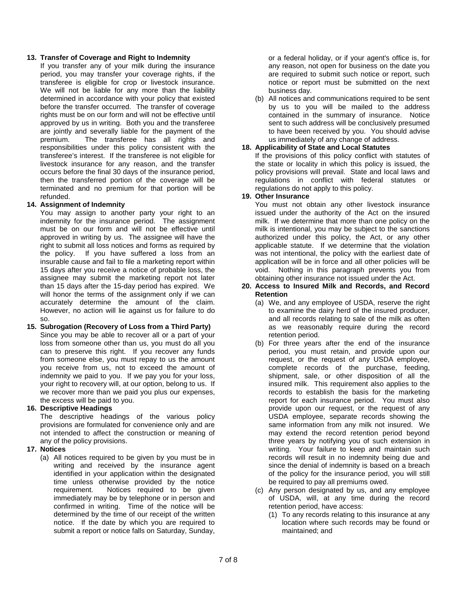### **13. Transfer of Coverage and Right to Indemnity**

If you transfer any of your milk during the insurance period, you may transfer your coverage rights, if the transferee is eligible for crop or livestock insurance. We will not be liable for any more than the liability determined in accordance with your policy that existed before the transfer occurred. The transfer of coverage rights must be on our form and will not be effective until approved by us in writing. Both you and the transferee are jointly and severally liable for the payment of the premium. The transferee has all rights and responsibilities under this policy consistent with the transferee's interest. If the transferee is not eligible for livestock insurance for any reason, and the transfer occurs before the final 30 days of the insurance period, then the transferred portion of the coverage will be terminated and no premium for that portion will be refunded.

# **14. Assignment of Indemnity**

You may assign to another party your right to an indemnity for the insurance period. The assignment must be on our form and will not be effective until approved in writing by us. The assignee will have the right to submit all loss notices and forms as required by the policy. If you have suffered a loss from an insurable cause and fail to file a marketing report within 15 days after you receive a notice of probable loss, the assignee may submit the marketing report not later than 15 days after the 15-day period has expired. We will honor the terms of the assignment only if we can accurately determine the amount of the claim. However, no action will lie against us for failure to do so.

# **15. Subrogation (Recovery of Loss from a Third Party)**

Since you may be able to recover all or a part of your loss from someone other than us, you must do all you can to preserve this right. If you recover any funds from someone else, you must repay to us the amount you receive from us, not to exceed the amount of indemnity we paid to you. If we pay you for your loss, your right to recovery will, at our option, belong to us. If we recover more than we paid you plus our expenses, the excess will be paid to you.

# **16. Descriptive Headings**

The descriptive headings of the various policy provisions are formulated for convenience only and are not intended to affect the construction or meaning of any of the policy provisions.

# **17. Notices**

(a) All notices required to be given by you must be in writing and received by the insurance agent identified in your application within the designated time unless otherwise provided by the notice requirement. Notices required to be given immediately may be by telephone or in person and confirmed in writing. Time of the notice will be determined by the time of our receipt of the written notice. If the date by which you are required to submit a report or notice falls on Saturday, Sunday,

or a federal holiday, or if your agent's office is, for any reason, not open for business on the date you are required to submit such notice or report, such notice or report must be submitted on the next business day.

(b) All notices and communications required to be sent by us to you will be mailed to the address contained in the summary of insurance. Notice sent to such address will be conclusively presumed to have been received by you. You should advise us immediately of any change of address.

# **18. Applicability of State and Local Statutes**

If the provisions of this policy conflict with statutes of the state or locality in which this policy is issued, the policy provisions will prevail. State and local laws and regulations in conflict with federal statutes or regulations do not apply to this policy.

# **19. Other Insurance**

You must not obtain any other livestock insurance issued under the authority of the Act on the insured milk. If we determine that more than one policy on the milk is intentional, you may be subject to the sanctions authorized under this policy, the Act, or any other applicable statute. If we determine that the violation was not intentional, the policy with the earliest date of application will be in force and all other policies will be void. Nothing in this paragraph prevents you from obtaining other insurance not issued under the Act.

#### **20. Access to Insured Milk and Records, and Record Retention**

- (a) We, and any employee of USDA, reserve the right to examine the dairy herd of the insured producer, and all records relating to sale of the milk as often as we reasonably require during the record retention period.
- (b) For three years after the end of the insurance period, you must retain, and provide upon our request, or the request of any USDA employee, complete records of the purchase, feeding, shipment, sale, or other disposition of all the insured milk. This requirement also applies to the records to establish the basis for the marketing report for each insurance period. You must also provide upon our request, or the request of any USDA employee, separate records showing the same information from any milk not insured. We may extend the record retention period beyond three years by notifying you of such extension in writing. Your failure to keep and maintain such records will result in no indemnity being due and since the denial of indemnity is based on a breach of the policy for the insurance period, you will still be required to pay all premiums owed.
- (c) Any person designated by us, and any employee of USDA, will, at any time during the record retention period, have access:
	- (1) To any records relating to this insurance at any location where such records may be found or maintained; and